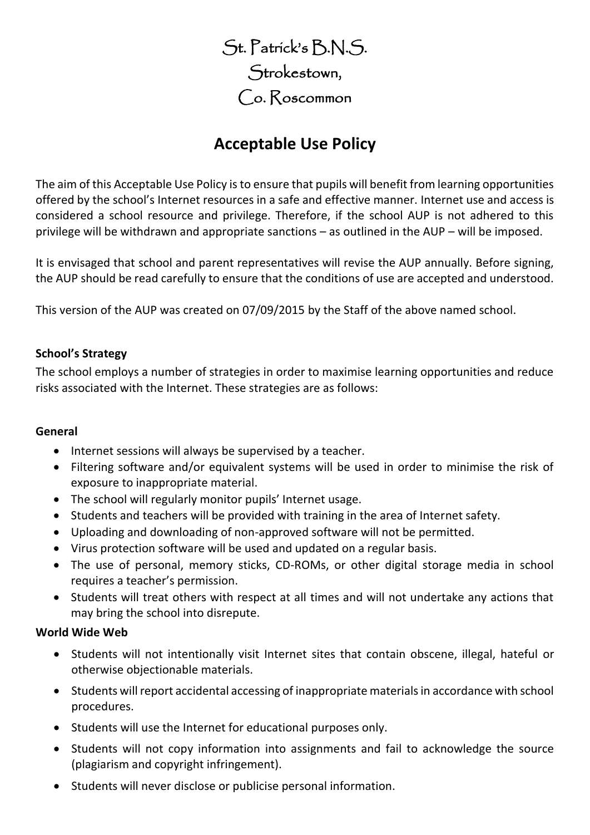St. Patrick's B.N.S. Strokestown, Co. Roscommon

# **Acceptable Use Policy**

The aim of this Acceptable Use Policy is to ensure that pupils will benefit from learning opportunities offered by the school's Internet resources in a safe and effective manner. Internet use and access is considered a school resource and privilege. Therefore, if the school AUP is not adhered to this privilege will be withdrawn and appropriate sanctions – as outlined in the AUP – will be imposed.

It is envisaged that school and parent representatives will revise the AUP annually. Before signing, the AUP should be read carefully to ensure that the conditions of use are accepted and understood.

This version of the AUP was created on 07/09/2015 by the Staff of the above named school.

## **School's Strategy**

The school employs a number of strategies in order to maximise learning opportunities and reduce risks associated with the Internet. These strategies are as follows:

#### **General**

- Internet sessions will always be supervised by a teacher.
- Filtering software and/or equivalent systems will be used in order to minimise the risk of exposure to inappropriate material.
- The school will regularly monitor pupils' Internet usage.
- Students and teachers will be provided with training in the area of Internet safety.
- Uploading and downloading of non-approved software will not be permitted.
- Virus protection software will be used and updated on a regular basis.
- The use of personal, memory sticks, CD-ROMs, or other digital storage media in school requires a teacher's permission.
- Students will treat others with respect at all times and will not undertake any actions that may bring the school into disrepute.

#### **World Wide Web**

- Students will not intentionally visit Internet sites that contain obscene, illegal, hateful or otherwise objectionable materials.
- Students will report accidental accessing of inappropriate materials in accordance with school procedures.
- Students will use the Internet for educational purposes only.
- Students will not copy information into assignments and fail to acknowledge the source (plagiarism and copyright infringement).
- Students will never disclose or publicise personal information.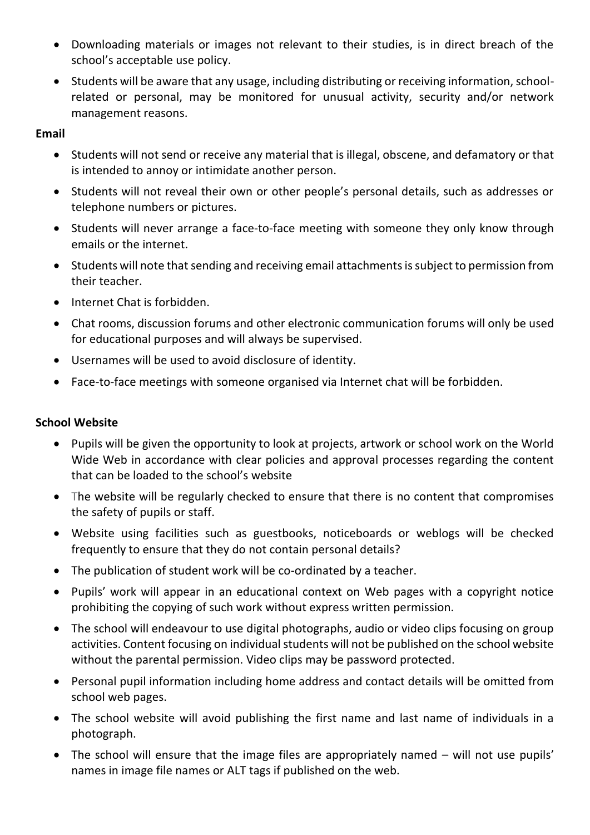- Downloading materials or images not relevant to their studies, is in direct breach of the school's acceptable use policy.
- Students will be aware that any usage, including distributing or receiving information, schoolrelated or personal, may be monitored for unusual activity, security and/or network management reasons.

#### **Email**

- Students will not send or receive any material that is illegal, obscene, and defamatory or that is intended to annoy or intimidate another person.
- Students will not reveal their own or other people's personal details, such as addresses or telephone numbers or pictures.
- Students will never arrange a face-to-face meeting with someone they only know through emails or the internet.
- Students will note that sending and receiving email attachments is subject to permission from their teacher.
- Internet Chat is forbidden.
- Chat rooms, discussion forums and other electronic communication forums will only be used for educational purposes and will always be supervised.
- Usernames will be used to avoid disclosure of identity.
- Face-to-face meetings with someone organised via Internet chat will be forbidden.

## **School Website**

- Pupils will be given the opportunity to look at projects, artwork or school work on the World Wide Web in accordance with clear policies and approval processes regarding the content that can be loaded to the school's website
- The website will be regularly checked to ensure that there is no content that compromises the safety of pupils or staff.
- Website using facilities such as guestbooks, noticeboards or weblogs will be checked frequently to ensure that they do not contain personal details?
- The publication of student work will be co-ordinated by a teacher.
- Pupils' work will appear in an educational context on Web pages with a copyright notice prohibiting the copying of such work without express written permission.
- The school will endeavour to use digital photographs, audio or video clips focusing on group activities. Content focusing on individual students will not be published on the school website without the parental permission. Video clips may be password protected.
- Personal pupil information including home address and contact details will be omitted from school web pages.
- The school website will avoid publishing the first name and last name of individuals in a photograph.
- The school will ensure that the image files are appropriately named will not use pupils' names in image file names or ALT tags if published on the web.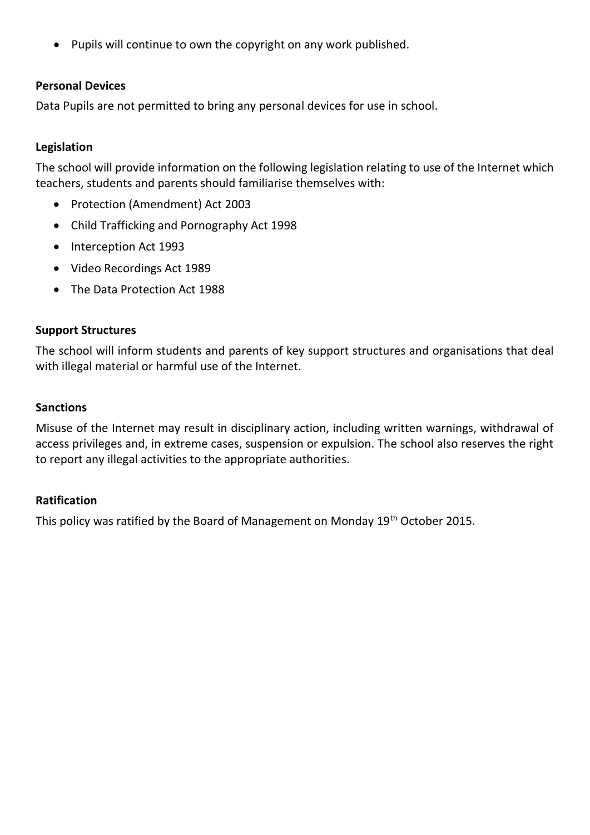• Pupils will continue to own the copyright on any work published.

## **Personal Devices**

Data Pupils are not permitted to bring any personal devices for use in school.

## **Legislation**

The school will provide information on the following legislation relating to use of the Internet which teachers, students and parents should familiarise themselves with:

- Protection (Amendment) Act 2003
- Child Trafficking and Pornography Act 1998
- Interception Act 1993
- Video Recordings Act 1989
- The Data Protection Act 1988

#### **Support Structures**

The school will inform students and parents of key support structures and organisations that deal with illegal material or harmful use of the Internet.

#### **Sanctions**

Misuse of the Internet may result in disciplinary action, including written warnings, withdrawal of access privileges and, in extreme cases, suspension or expulsion. The school also reserves the right to report any illegal activities to the appropriate authorities.

#### **Ratification**

This policy was ratified by the Board of Management on Monday 19<sup>th</sup> October 2015.